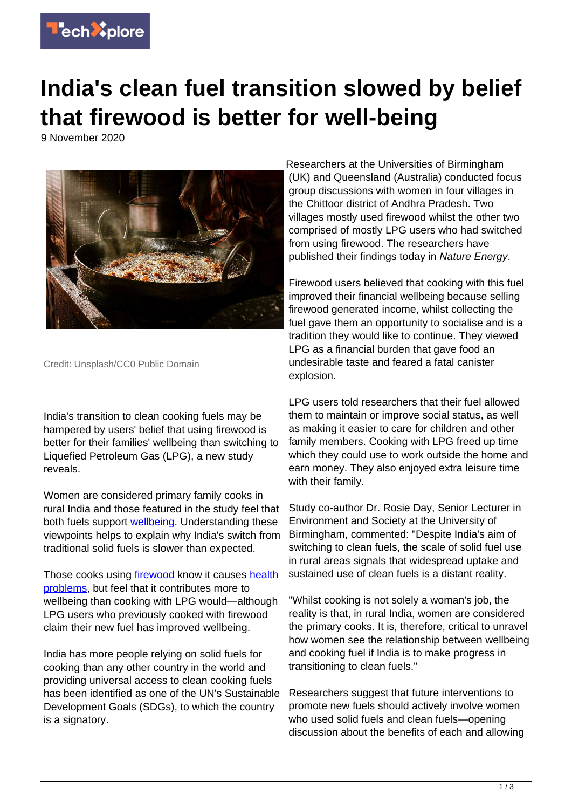

## **India's clean fuel transition slowed by belief that firewood is better for well-being**

9 November 2020



Credit: Unsplash/CC0 Public Domain

India's transition to clean cooking fuels may be hampered by users' belief that using firewood is better for their families' wellbeing than switching to Liquefied Petroleum Gas (LPG), a new study reveals.

Women are considered primary family cooks in rural India and those featured in the study feel that both fuels support **wellbeing**. Understanding these viewpoints helps to explain why India's switch from traditional solid fuels is slower than expected.

Those cooks using [firewood](https://techxplore.com/tags/firewood/) know it causes [health](https://techxplore.com/tags/health+problems/) [problems,](https://techxplore.com/tags/health+problems/) but feel that it contributes more to wellbeing than cooking with LPG would—although LPG users who previously cooked with firewood claim their new fuel has improved wellbeing.

India has more people relying on solid fuels for cooking than any other country in the world and providing universal access to clean cooking fuels has been identified as one of the UN's Sustainable Development Goals (SDGs), to which the country is a signatory.

Researchers at the Universities of Birmingham (UK) and Queensland (Australia) conducted focus group discussions with women in four villages in the Chittoor district of Andhra Pradesh. Two villages mostly used firewood whilst the other two comprised of mostly LPG users who had switched from using firewood. The researchers have published their findings today in Nature Energy.

Firewood users believed that cooking with this fuel improved their financial wellbeing because selling firewood generated income, whilst collecting the fuel gave them an opportunity to socialise and is a tradition they would like to continue. They viewed LPG as a financial burden that gave food an undesirable taste and feared a fatal canister explosion.

LPG users told researchers that their fuel allowed them to maintain or improve social status, as well as making it easier to care for children and other family members. Cooking with LPG freed up time which they could use to work outside the home and earn money. They also enjoyed extra leisure time with their family.

Study co-author Dr. Rosie Day, Senior Lecturer in Environment and Society at the University of Birmingham, commented: "Despite India's aim of switching to clean fuels, the scale of solid fuel use in rural areas signals that widespread uptake and sustained use of clean fuels is a distant reality.

"Whilst cooking is not solely a woman's job, the reality is that, in rural India, women are considered the primary cooks. It is, therefore, critical to unravel how women see the relationship between wellbeing and cooking fuel if India is to make progress in transitioning to clean fuels."

Researchers suggest that future interventions to promote new fuels should actively involve women who used solid fuels and clean fuels—opening discussion about the benefits of each and allowing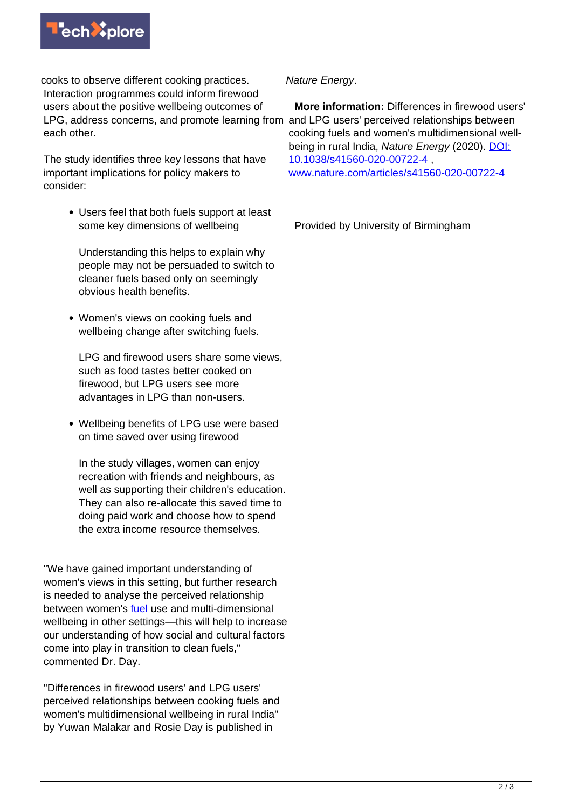

cooks to observe different cooking practices. Interaction programmes could inform firewood users about the positive wellbeing outcomes of LPG, address concerns, and promote learning from and LPG users' perceived relationships between each other.

The study identifies three key lessons that have important implications for policy makers to consider:

> Users feel that both fuels support at least some key dimensions of wellbeing

Understanding this helps to explain why people may not be persuaded to switch to cleaner fuels based only on seemingly obvious health benefits.

Women's views on cooking fuels and wellbeing change after switching fuels.

LPG and firewood users share some views, such as food tastes better cooked on firewood, but LPG users see more advantages in LPG than non-users.

Wellbeing benefits of LPG use were based on time saved over using firewood

In the study villages, women can enjoy recreation with friends and neighbours, as well as supporting their children's education. They can also re-allocate this saved time to doing paid work and choose how to spend the extra income resource themselves.

"We have gained important understanding of women's views in this setting, but further research is needed to analyse the perceived relationship between women's *fuel* use and multi-dimensional wellbeing in other settings—this will help to increase our understanding of how social and cultural factors come into play in transition to clean fuels," commented Dr. Day.

"Differences in firewood users' and LPG users' perceived relationships between cooking fuels and women's multidimensional wellbeing in rural India" by Yuwan Malakar and Rosie Day is published in

## Nature Energy.

 **More information:** Differences in firewood users' cooking fuels and women's multidimensional wellbeing in rural India, Nature Energy (2020). [DOI:](http://dx.doi.org/10.1038/s41560-020-00722-4) [10.1038/s41560-020-00722-4](http://dx.doi.org/10.1038/s41560-020-00722-4) , [www.nature.com/articles/s41560-020-00722-4](https://www.nature.com/articles/s41560-020-00722-4)

Provided by University of Birmingham